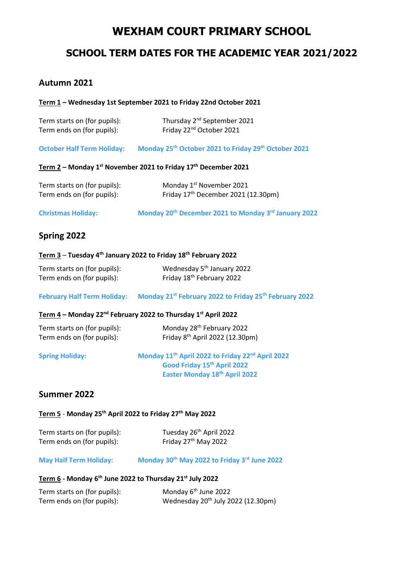# **WEXHAM COURT PRIMARY SCHOOL**

# **SCHOOL TERM DATES FOR THE ACADEMIC YEAR 2021/2022**

# **Autumn 2021**

#### **Term 1 – Wednesday 1st September 2021 to Friday 22nd October 2021**

| Term starts on (for pupils): | Thursday 2 <sup>nd</sup> September 2021 |
|------------------------------|-----------------------------------------|
| Term ends on (for pupils):   | Friday 22 <sup>nd</sup> October 2021    |

**October Half Term Holiday: Monday 25 th October 2021 to Friday 29th October 2021**

#### **Term 2 – Monday 1 st November 2021 to Friday 17 th December 2021**

| Term starts on (for pupils): | Monday 1 <sup>st</sup> November 2021            |
|------------------------------|-------------------------------------------------|
| Term ends on (for pupils):   | Friday 17 <sup>th</sup> December 2021 (12.30pm) |

**Christmas Holiday: Monday 20 th December 2021 to Monday 3rd January 2022**

# **Spring 2022**

#### **Term 3** – **Tuesday 4th January 2022 to Friday 18th February 2022**

| Term starts on (for pupils): | Wednesday 5 <sup>th</sup> January 2022 |
|------------------------------|----------------------------------------|
| Term ends on (for pupils):   | Friday 18 <sup>th</sup> February 2022  |

#### **February Half Term Holiday: Monday 21st February 2022 to Friday 25th February 2022**

## **Term 4 – Monday 22 nd February 2022 to Thursday 1st April 2022**

| Term starts on (for pupils): | Monday 28 <sup>th</sup> February 2022       |
|------------------------------|---------------------------------------------|
| Term ends on (for pupils):   | Friday 8 <sup>th</sup> April 2022 (12.30pm) |

**Spring Holiday: Monday 11th April 2022 to Friday 22nd April 2022 Good Friday 15th April 2022 Easter Monday 18th April 2022**

## **Summer 2022**

#### **Term 5** - **Monday 25th April 2022 to Friday 27 th May 2022**

| Term starts on (for pupils): | Tuesday 26 <sup>th</sup> April 2022 |
|------------------------------|-------------------------------------|
| Term ends on (for pupils):   | Friday 27 <sup>th</sup> May 2022    |

### **May Half Term Holiday: Monday 30th May 2022 to Friday 3 rd June 2022**

#### **Term 6 - Monday 6 th June 2022 to Thursday 21st July 2022**

| Term starts on (for pupils): | Monday 6 <sup>th</sup> June 2022               |
|------------------------------|------------------------------------------------|
| Term ends on (for pupils):   | Wednesday 20 <sup>th</sup> July 2022 (12.30pm) |